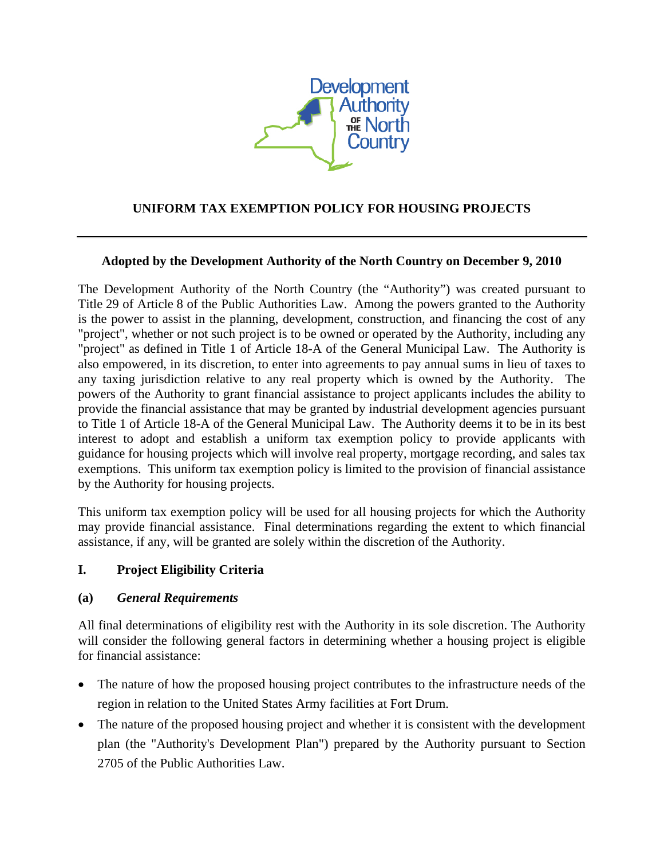

# **UNIFORM TAX EXEMPTION POLICY FOR HOUSING PROJECTS**

#### **Adopted by the Development Authority of the North Country on December 9, 2010**

The Development Authority of the North Country (the "Authority") was created pursuant to Title 29 of Article 8 of the Public Authorities Law. Among the powers granted to the Authority is the power to assist in the planning, development, construction, and financing the cost of any "project", whether or not such project is to be owned or operated by the Authority, including any "project" as defined in Title 1 of Article 18-A of the General Municipal Law. The Authority is also empowered, in its discretion, to enter into agreements to pay annual sums in lieu of taxes to any taxing jurisdiction relative to any real property which is owned by the Authority. The powers of the Authority to grant financial assistance to project applicants includes the ability to provide the financial assistance that may be granted by industrial development agencies pursuant to Title 1 of Article 18-A of the General Municipal Law. The Authority deems it to be in its best interest to adopt and establish a uniform tax exemption policy to provide applicants with guidance for housing projects which will involve real property, mortgage recording, and sales tax exemptions. This uniform tax exemption policy is limited to the provision of financial assistance by the Authority for housing projects.

This uniform tax exemption policy will be used for all housing projects for which the Authority may provide financial assistance. Final determinations regarding the extent to which financial assistance, if any, will be granted are solely within the discretion of the Authority.

### **I. Project Eligibility Criteria**

#### **(a)** *General Requirements*

All final determinations of eligibility rest with the Authority in its sole discretion. The Authority will consider the following general factors in determining whether a housing project is eligible for financial assistance:

- The nature of how the proposed housing project contributes to the infrastructure needs of the region in relation to the United States Army facilities at Fort Drum.
- The nature of the proposed housing project and whether it is consistent with the development plan (the "Authority's Development Plan") prepared by the Authority pursuant to Section 2705 of the Public Authorities Law.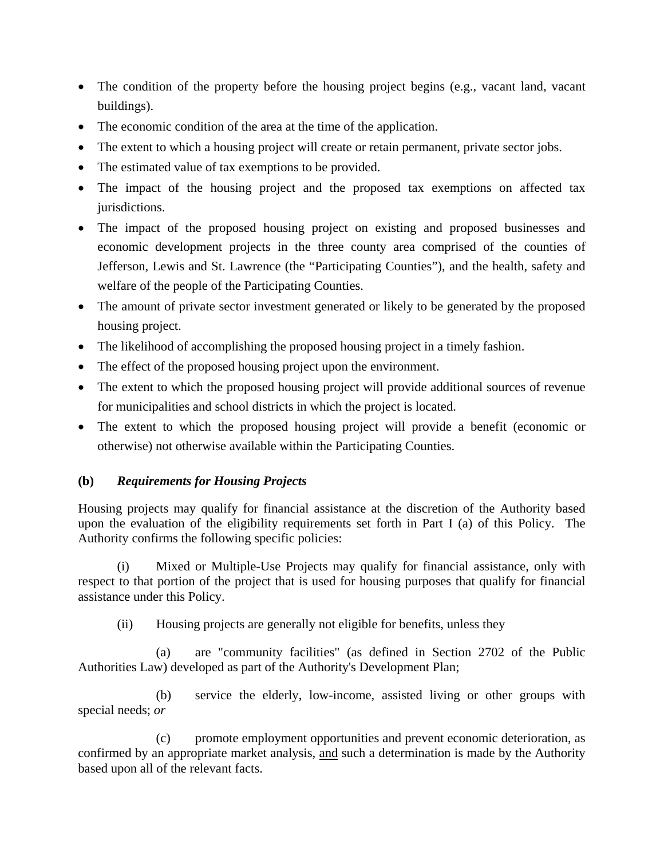- The condition of the property before the housing project begins (e.g., vacant land, vacant buildings).
- The economic condition of the area at the time of the application.
- The extent to which a housing project will create or retain permanent, private sector jobs.
- The estimated value of tax exemptions to be provided.
- The impact of the housing project and the proposed tax exemptions on affected tax jurisdictions.
- The impact of the proposed housing project on existing and proposed businesses and economic development projects in the three county area comprised of the counties of Jefferson, Lewis and St. Lawrence (the "Participating Counties"), and the health, safety and welfare of the people of the Participating Counties.
- The amount of private sector investment generated or likely to be generated by the proposed housing project.
- The likelihood of accomplishing the proposed housing project in a timely fashion.
- The effect of the proposed housing project upon the environment.
- The extent to which the proposed housing project will provide additional sources of revenue for municipalities and school districts in which the project is located.
- The extent to which the proposed housing project will provide a benefit (economic or otherwise) not otherwise available within the Participating Counties.

### **(b)** *Requirements for Housing Projects*

Housing projects may qualify for financial assistance at the discretion of the Authority based upon the evaluation of the eligibility requirements set forth in Part I (a) of this Policy. The Authority confirms the following specific policies:

(i) Mixed or Multiple-Use Projects may qualify for financial assistance, only with respect to that portion of the project that is used for housing purposes that qualify for financial assistance under this Policy.

(ii) Housing projects are generally not eligible for benefits, unless they

(a) are "community facilities" (as defined in Section 2702 of the Public Authorities Law) developed as part of the Authority's Development Plan;

(b) service the elderly, low-income, assisted living or other groups with special needs; *or* 

(c) promote employment opportunities and prevent economic deterioration, as confirmed by an appropriate market analysis, and such a determination is made by the Authority based upon all of the relevant facts.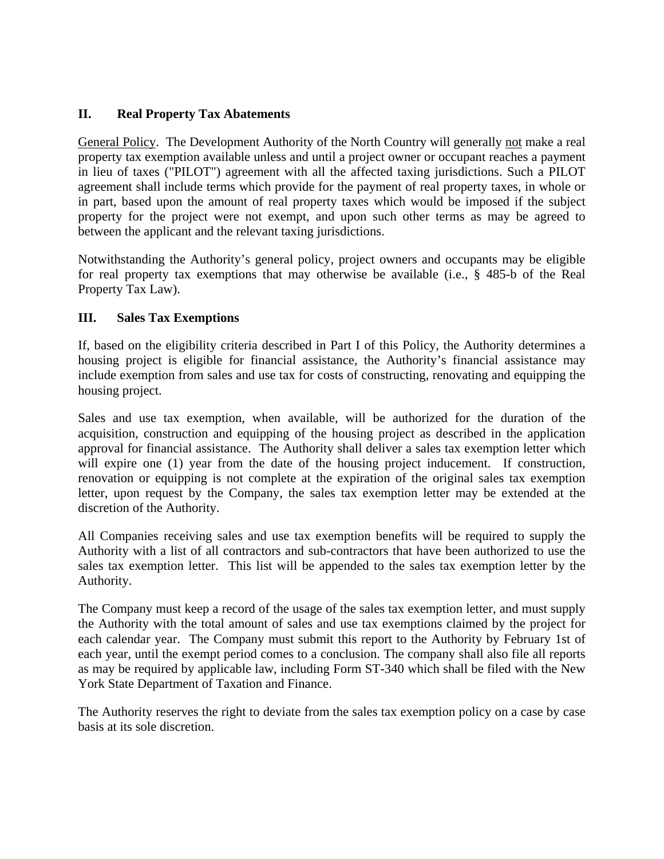### **II. Real Property Tax Abatements**

General Policy. The Development Authority of the North Country will generally not make a real property tax exemption available unless and until a project owner or occupant reaches a payment in lieu of taxes ("PILOT") agreement with all the affected taxing jurisdictions. Such a PILOT agreement shall include terms which provide for the payment of real property taxes, in whole or in part, based upon the amount of real property taxes which would be imposed if the subject property for the project were not exempt, and upon such other terms as may be agreed to between the applicant and the relevant taxing jurisdictions.

Notwithstanding the Authority's general policy, project owners and occupants may be eligible for real property tax exemptions that may otherwise be available (i.e., § 485-b of the Real Property Tax Law).

# **III. Sales Tax Exemptions**

If, based on the eligibility criteria described in Part I of this Policy, the Authority determines a housing project is eligible for financial assistance, the Authority's financial assistance may include exemption from sales and use tax for costs of constructing, renovating and equipping the housing project.

Sales and use tax exemption, when available, will be authorized for the duration of the acquisition, construction and equipping of the housing project as described in the application approval for financial assistance. The Authority shall deliver a sales tax exemption letter which will expire one (1) year from the date of the housing project inducement. If construction, renovation or equipping is not complete at the expiration of the original sales tax exemption letter, upon request by the Company, the sales tax exemption letter may be extended at the discretion of the Authority.

All Companies receiving sales and use tax exemption benefits will be required to supply the Authority with a list of all contractors and sub-contractors that have been authorized to use the sales tax exemption letter. This list will be appended to the sales tax exemption letter by the Authority.

The Company must keep a record of the usage of the sales tax exemption letter, and must supply the Authority with the total amount of sales and use tax exemptions claimed by the project for each calendar year. The Company must submit this report to the Authority by February 1st of each year, until the exempt period comes to a conclusion. The company shall also file all reports as may be required by applicable law, including Form ST-340 which shall be filed with the New York State Department of Taxation and Finance.

The Authority reserves the right to deviate from the sales tax exemption policy on a case by case basis at its sole discretion.